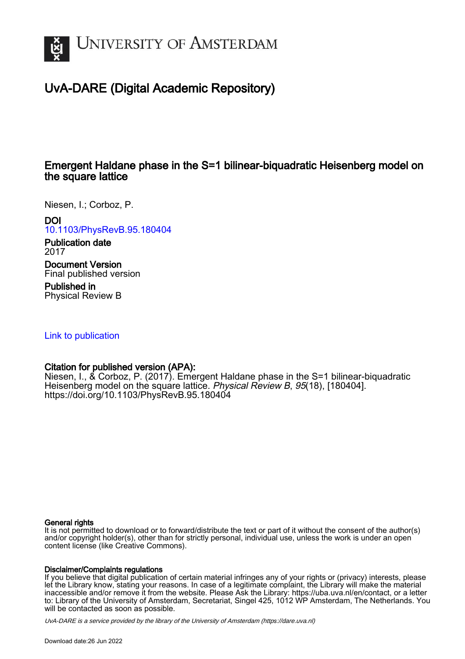

# UvA-DARE (Digital Academic Repository)

# Emergent Haldane phase in the S=1 bilinear-biquadratic Heisenberg model on the square lattice

Niesen, I.; Corboz, P.

DOI

[10.1103/PhysRevB.95.180404](https://doi.org/10.1103/PhysRevB.95.180404)

Publication date 2017

Document Version Final published version

Published in Physical Review B

[Link to publication](https://dare.uva.nl/personal/pure/en/publications/emergent-haldane-phase-in-the-s1-bilinearbiquadratic-heisenberg-model-on-the-square-lattice(11aa3386-adf8-4105-992b-f4d6a3fcfccb).html)

## Citation for published version (APA):

Niesen, I., & Corboz, P. (2017). Emergent Haldane phase in the S=1 bilinear-biquadratic Heisenberg model on the square lattice. Physical Review B, 95(18), [180404]. <https://doi.org/10.1103/PhysRevB.95.180404>

### General rights

It is not permitted to download or to forward/distribute the text or part of it without the consent of the author(s) and/or copyright holder(s), other than for strictly personal, individual use, unless the work is under an open content license (like Creative Commons).

### Disclaimer/Complaints regulations

If you believe that digital publication of certain material infringes any of your rights or (privacy) interests, please let the Library know, stating your reasons. In case of a legitimate complaint, the Library will make the material inaccessible and/or remove it from the website. Please Ask the Library: https://uba.uva.nl/en/contact, or a letter to: Library of the University of Amsterdam, Secretariat, Singel 425, 1012 WP Amsterdam, The Netherlands. You will be contacted as soon as possible.

UvA-DARE is a service provided by the library of the University of Amsterdam (http*s*://dare.uva.nl)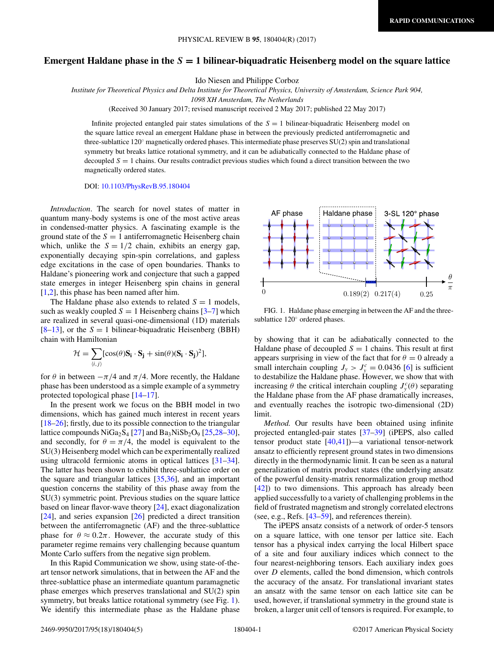#### <span id="page-1-0"></span>**Emergent Haldane phase in the** *S* **= 1 bilinear-biquadratic Heisenberg model on the square lattice**

Ido Niesen and Philippe Corboz

*Institute for Theoretical Physics and Delta Institute for Theoretical Physics, University of Amsterdam, Science Park 904,*

*1098 XH Amsterdam, The Netherlands*

(Received 30 January 2017; revised manuscript received 2 May 2017; published 22 May 2017)

Infinite projected entangled pair states simulations of the *S* = 1 bilinear-biquadratic Heisenberg model on the square lattice reveal an emergent Haldane phase in between the previously predicted antiferromagnetic and three-sublattice 120° magnetically ordered phases. This intermediate phase preserves SU(2) spin and translational symmetry but breaks lattice rotational symmetry, and it can be adiabatically connected to the Haldane phase of decoupled  $S = 1$  chains. Our results contradict previous studies which found a direct transition between the two magnetically ordered states.

DOI: [10.1103/PhysRevB.95.180404](https://doi.org/10.1103/PhysRevB.95.180404)

*Introduction*. The search for novel states of matter in quantum many-body systems is one of the most active areas in condensed-matter physics. A fascinating example is the ground state of the  $S = 1$  antiferromagnetic Heisenberg chain which, unlike the  $S = 1/2$  chain, exhibits an energy gap, exponentially decaying spin-spin correlations, and gapless edge excitations in the case of open boundaries. Thanks to Haldane's pioneering work and conjecture that such a gapped state emerges in integer Heisenberg spin chains in general [\[1,2\]](#page-4-0), this phase has been named after him.

The Haldane phase also extends to related  $S = 1$  models, such as weakly coupled  $S = 1$  Heisenberg chains  $[3-7]$  which are realized in several quasi-one-dimensional (1D) materials  $[8-13]$ , or the  $S = 1$  bilinear-biquadratic Heisenberg (BBH) chain with Hamiltonian

$$
\mathcal{H} = \sum_{\langle i,j \rangle} [\cos(\theta) \mathbf{S}_i \cdot \mathbf{S}_j + \sin(\theta) (\mathbf{S}_i \cdot \mathbf{S}_j)^2],
$$

for  $\theta$  in between  $-\pi/4$  and  $\pi/4$ . More recently, the Haldane phase has been understood as a simple example of a symmetry protected topological phase [\[14–17\]](#page-4-0).

In the present work we focus on the BBH model in two dimensions, which has gained much interest in recent years [\[18–26\]](#page-4-0); firstly, due to its possible connection to the triangular lattice compounds  $NiGa<sub>2</sub>S<sub>4</sub>$  [\[27\]](#page-4-0) and  $Ba<sub>3</sub>NiSb<sub>2</sub>O<sub>9</sub>$  [\[25,28–30\]](#page-4-0), and secondly, for  $\theta = \pi/4$ , the model is equivalent to the SU(3) Heisenberg model which can be experimentally realized using ultracold fermionic atoms in optical lattices [\[31–34\]](#page-4-0). The latter has been shown to exhibit three-sublattice order on the square and triangular lattices [\[35,36\]](#page-4-0), and an important question concerns the stability of this phase away from the SU(3) symmetric point. Previous studies on the square lattice based on linear flavor-wave theory [\[24\]](#page-4-0), exact diagonalization [\[24\]](#page-4-0), and series expansion [\[26\]](#page-4-0) predicted a direct transition between the antiferromagnetic (AF) and the three-sublattice phase for  $\theta \approx 0.2\pi$ . However, the accurate study of this parameter regime remains very challenging because quantum Monte Carlo suffers from the negative sign problem.

In this Rapid Communication we show, using state-of-theart tensor network simulations, that in between the AF and the three-sublattice phase an intermediate quantum paramagnetic phase emerges which preserves translational and SU(2) spin symmetry, but breaks lattice rotational symmetry (see Fig. 1). We identify this intermediate phase as the Haldane phase



FIG. 1. Haldane phase emerging in between the AF and the threesublattice 120◦ ordered phases.

by showing that it can be adiabatically connected to the Haldane phase of decoupled  $S = 1$  chains. This result at first appears surprising in view of the fact that for  $\theta = 0$  already a small interchain coupling  $J_y > J_y^c = 0.0436$  [\[6\]](#page-4-0) is sufficient to destabilize the Haldane phase. However, we show that with increasing  $\theta$  the critical interchain coupling  $J_{y}^{c}(\theta)$  separating the Haldane phase from the AF phase dramatically increases, and eventually reaches the isotropic two-dimensional (2D) limit.

*Method.* Our results have been obtained using infinite projected entangled-pair states [\[37–39\]](#page-4-0) (iPEPS, also called tensor product state [\[40,41\]](#page-4-0))—a variational tensor-network ansatz to efficiently represent ground states in two dimensions directly in the thermodynamic limit. It can be seen as a natural generalization of matrix product states (the underlying ansatz of the powerful density-matrix renormalization group method [\[42\]](#page-4-0)) to two dimensions. This approach has already been applied successfully to a variety of challenging problems in the field of frustrated magnetism and strongly correlated electrons (see, e.g., Refs. [\[43–](#page-4-0)[59\]](#page-5-0), and references therein).

The iPEPS ansatz consists of a network of order-5 tensors on a square lattice, with one tensor per lattice site. Each tensor has a physical index carrying the local Hilbert space of a site and four auxiliary indices which connect to the four nearest-neighboring tensors. Each auxiliary index goes over *D* elements, called the bond dimension, which controls the accuracy of the ansatz. For translational invariant states an ansatz with the same tensor on each lattice site can be used, however, if translational symmetry in the ground state is broken, a larger unit cell of tensors is required. For example, to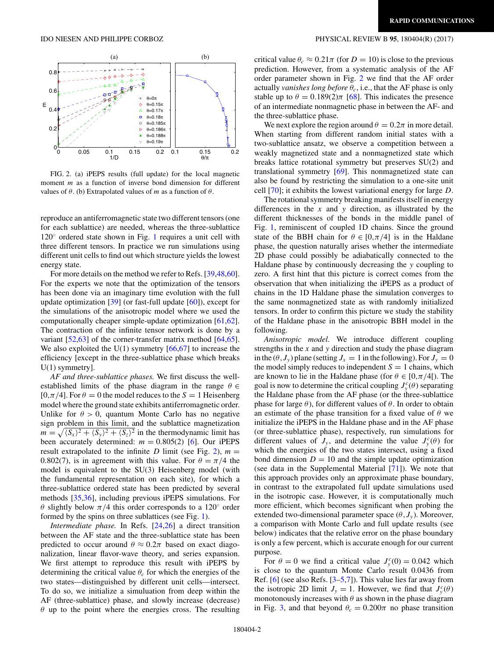

FIG. 2. (a) iPEPS results (full update) for the local magnetic moment *m* as a function of inverse bond dimension for different values of  $\theta$ . (b) Extrapolated values of *m* as a function of  $\theta$ .

reproduce an antiferromagnetic state two different tensors (one for each sublattice) are needed, whereas the three-sublattice  $120°$  $120°$  ordered state shown in Fig. 1 requires a unit cell with three different tensors. In practice we run simulations using different unit cells to find out which structure yields the lowest energy state.

For more details on the method we refer to Refs. [\[39](#page-4-0)[,48,60\]](#page-5-0). For the experts we note that the optimization of the tensors has been done via an imaginary time evolution with the full update optimization [\[39\]](#page-4-0) (or fast-full update [\[60\]](#page-5-0)), except for the simulations of the anisotropic model where we used the computationally cheaper simple-update optimization [\[61,62\]](#page-5-0). The contraction of the infinite tensor network is done by a variant [\[52,63\]](#page-5-0) of the corner-transfer matrix method [\[64,65\]](#page-5-0). We also exploited the U(1) symmetry  $[66, 67]$  to increase the efficiency [except in the three-sublattice phase which breaks U(1) symmetry].

*AF and three-sublattice phases.* We first discuss the wellestablished limits of the phase diagram in the range *θ* ∈  $[0, \pi/4]$ . For  $\theta = 0$  the model reduces to the  $S = 1$  Heisenberg model where the ground state exhibits antiferromagnetic order. Unlike for  $\theta > 0$ , quantum Monte Carlo has no negative sign problem in this limit, and the sublattice magnetization  $m = \sqrt{\langle S_x \rangle^2 + \langle S_y \rangle^2 + \langle S_z \rangle^2}$  in the thermodynamic limit has been accurately determined:  $m = 0.805(2)$  [\[6\]](#page-4-0). Our iPEPS result extrapolated to the infinite *D* limit (see Fig. 2),  $m =$ 0.802(7), is in agreement with this value. For  $\theta = \pi/4$  the model is equivalent to the SU(3) Heisenberg model (with the fundamental representation on each site), for which a three-sublattice ordered state has been predicted by several methods [\[35,36\]](#page-4-0), including previous iPEPS simulations. For *θ* slightly below  $\pi/4$  this order corresponds to a 120 $\degree$  order formed by the spins on three sublattices (see Fig. [1\)](#page-1-0).

*Intermediate phase.* In Refs. [\[24,26\]](#page-4-0) a direct transition between the AF state and the three-sublattice state has been predicted to occur around  $\theta \approx 0.2\pi$  based on exact diagonalization, linear flavor-wave theory, and series expansion. We first attempt to reproduce this result with iPEPS by determining the critical value  $\theta_c$  for which the energies of the two states—distinguished by different unit cells—intersect. To do so, we initialize a simuluation from deep within the AF (three-sublattice) phase, and slowly increase (decrease) *θ* up to the point where the energies cross. The resulting

#### <span id="page-2-0"></span>IDO NIESEN AND PHILIPPE CORBOZ PHYSICAL REVIEW B **95**, 180404(R) (2017)

critical value  $\theta_c \approx 0.21\pi$  (for  $D = 10$ ) is close to the previous prediction. However, from a systematic analysis of the AF order parameter shown in Fig. 2 we find that the AF order actually *vanishes long before*  $\theta_c$ , i.e., that the AF phase is only stable up to  $\theta = 0.189(2)\pi$  [\[68\]](#page-5-0). This indicates the presence of an intermediate nonmagnetic phase in between the AF- and the three-sublattice phase.

We next explore the region around  $\theta = 0.2\pi$  in more detail. When starting from different random initial states with a two-sublattice ansatz, we observe a competition between a weakly magnetized state and a nonmagnetized state which breaks lattice rotational symmetry but preserves SU(2) and translational symmetry [\[69\]](#page-5-0). This nonmagnetized state can also be found by restricting the simulation to a one-site unit cell [\[70\]](#page-5-0); it exhibits the lowest variational energy for large *D*.

The rotational symmetry breaking manifests itself in energy differences in the *x* and *y* direction, as illustrated by the different thicknesses of the bonds in the middle panel of Fig. [1,](#page-1-0) reminiscent of coupled 1D chains. Since the ground state of the BBH chain for  $\theta \in [0, \pi/4]$  is in the Haldane phase, the question naturally arises whether the intermediate 2D phase could possibly be adiabatically connected to the Haldane phase by continuously decreasing the *y* coupling to zero. A first hint that this picture is correct comes from the observation that when initializing the iPEPS as a product of chains in the 1D Haldane phase the simulation converges to the same nonmagnetized state as with randomly initialized tensors. In order to confirm this picture we study the stability of the Haldane phase in the anisotropic BBH model in the following.

*Anisotropic model.* We introduce different coupling strengths in the *x* and *y* direction and study the phase diagram in the  $(\theta, J_{y})$  plane (setting  $J_{x} = 1$  in the following). For  $J_{y} = 0$ the model simply reduces to independent  $S = 1$  chains, which are known to lie in the Haldane phase (for  $\theta \in [0, \pi/4]$ ). The goal is now to determine the critical coupling  $J_y^c(\theta)$  separating the Haldane phase from the AF phase (or the three-sublattice phase for large *θ*), for different values of *θ*. In order to obtain an estimate of the phase transition for a fixed value of *θ* we initialize the iPEPS in the Haldane phase and in the AF phase (or three-sublattice phase), respectively, run simulations for different values of  $J_y$ , and determine the value  $J_y^c(\theta)$  for which the energies of the two states intersect, using a fixed bond dimension  $D = 10$  and the simple update optimization (see data in the Supplemental Material [\[71\]](#page-5-0)). We note that this approach provides only an approximate phase boundary, in contrast to the extrapolated full update simulations used in the isotropic case. However, it is computationally much more efficient, which becomes significant when probing the extended two-dimensional parameter space  $(\theta, J_{\nu})$ . Moreover, a comparison with Monte Carlo and full update results (see below) indicates that the relative error on the phase boundary is only a few percent, which is accurate enough for our current purpose.

For  $\theta = 0$  we find a critical value  $J_y^c(0) = 0.042$  which is close to the quantum Monte Carlo result 0.0436 from Ref. [\[6\]](#page-4-0) (see also Refs. [\[3–5,7\]](#page-4-0)). This value lies far away from the isotropic 2D limit  $J_y = 1$ . However, we find that  $J_y^c(\theta)$ monotonously increases with  $\theta$  as shown in the phase diagram in Fig. [3,](#page-3-0) and that beyond  $\theta_c = 0.200\pi$  no phase transition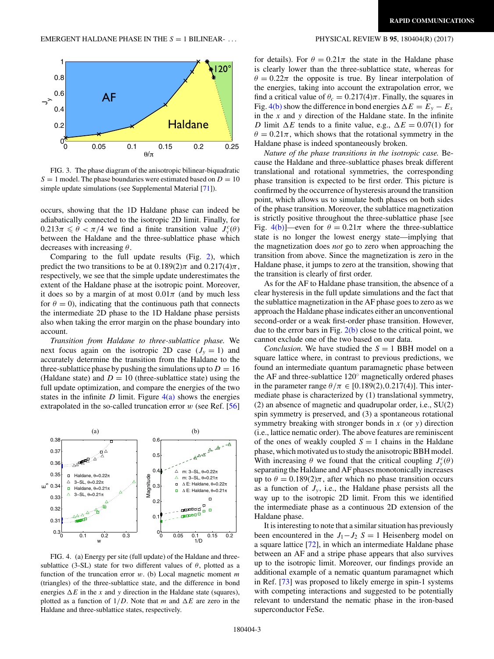<span id="page-3-0"></span>

FIG. 3. The phase diagram of the anisotropic bilinear-biquadratic  $S = 1$  model. The phase boundaries were estimated based on  $D = 10$ simple update simulations (see Supplemental Material [\[71\]](#page-5-0)).

occurs, showing that the 1D Haldane phase can indeed be adiabatically connected to the isotropic 2D limit. Finally, for  $0.213\pi \leq \theta < \pi/4$  we find a finite transition value  $J_y^c(\theta)$ between the Haldane and the three-sublattice phase which decreases with increasing *θ*.

Comparing to the full update results (Fig. [2\)](#page-2-0), which predict the two transitions to be at  $0.189(2)\pi$  and  $0.217(4)\pi$ , respectively, we see that the simple update underestimates the extent of the Haldane phase at the isotropic point. Moreover, it does so by a margin of at most  $0.01\pi$  (and by much less for  $\theta = 0$ ), indicating that the continuous path that connects the intermediate 2D phase to the 1D Haldane phase persists also when taking the error margin on the phase boundary into account.

*Transition from Haldane to three-sublattice phase.* We next focus again on the isotropic 2D case  $(J_v = 1)$  and accurately determine the transition from the Haldane to the three-sublattice phase by pushing the simulations up to  $D = 16$ (Haldane state) and  $D = 10$  (three-sublattice state) using the full update optimization, and compare the energies of the two states in the infinite *D* limit. Figure  $4(a)$  shows the energies extrapolated in the so-called truncation error *w* (see Ref. [\[56\]](#page-5-0)



FIG. 4. (a) Energy per site (full update) of the Haldane and threesublattice (3-SL) state for two different values of  $\theta$ , plotted as a function of the truncation error *w*. (b) Local magnetic moment *m* (triangles) of the three-sublattice state, and the difference in bond energies  $\Delta E$  in the *x* and *y* direction in the Haldane state (squares), plotted as a function of  $1/D$ . Note that *m* and  $\Delta E$  are zero in the Haldane and three-sublattice states, respectively.

for details). For  $\theta = 0.21\pi$  the state in the Haldane phase is clearly lower than the three-sublattice state, whereas for  $\theta = 0.22\pi$  the opposite is true. By linear interpolation of the energies, taking into account the extrapolation error, we find a critical value of  $\theta_c = 0.217(4)\pi$ . Finally, the squares in Fig. 4(b) show the difference in bond energies  $\Delta E = E_y - E_x$ in the *x* and *y* direction of the Haldane state. In the infinite *D* limit  $\Delta E$  tends to a finite value, e.g.,  $\Delta E = 0.07(1)$  for  $\theta = 0.21\pi$ , which shows that the rotational symmetry in the Haldane phase is indeed spontaneously broken.

*Nature of the phase transitions in the isotropic case.* Because the Haldane and three-sublattice phases break different translational and rotational symmetries, the corresponding phase transition is expected to be first order. This picture is confirmed by the occurrence of hysteresis around the transition point, which allows us to simulate both phases on both sides of the phase transition. Moreover, the sublattice magnetization is strictly positive throughout the three-sublattice phase [see Fig. 4(b)]—even for  $\theta = 0.21\pi$  where the three-sublattice state is no longer the lowest energy state—implying that the magnetization does *not* go to zero when approaching the transition from above. Since the magnetization is zero in the Haldane phase, it jumps to zero at the transition, showing that the transition is clearly of first order.

As for the AF to Haldane phase transition, the absence of a clear hysteresis in the full update simulations and the fact that the sublattice magnetization in the AF phase goes to zero as we approach the Haldane phase indicates either an unconventional second-order or a weak first-order phase transition. However, due to the error bars in Fig. [2\(b\)](#page-2-0) close to the critical point, we cannot exclude one of the two based on our data.

*Conclusion.* We have studied the  $S = 1$  BBH model on a square lattice where, in contrast to previous predictions, we found an intermediate quantum paramagnetic phase between the AF and three-sublattice 120◦ magnetically ordered phases in the parameter range  $\theta/\pi \in [0.189(2), 0.217(4)]$ . This intermediate phase is characterized by (1) translational symmetry, (2) an absence of magnetic and quadrupolar order, i.e., SU(2) spin symmetry is preserved, and (3) a spontaneous rotational symmetry breaking with stronger bonds in *x* (or *y*) direction (i.e., lattice nematic order). The above features are reminiscent of the ones of weakly coupled  $S = 1$  chains in the Haldane phase, which motivated us to study the anisotropic BBH model. With increasing  $\theta$  we found that the critical coupling  $J_y^c(\theta)$ separating the Haldane and AF phases monotonically increases up to  $\theta = 0.189(2)\pi$ , after which no phase transition occurs as a function of  $J_y$ , i.e., the Haldane phase persists all the way up to the isotropic 2D limit. From this we identified the intermediate phase as a continuous 2D extension of the Haldane phase.

It is interesting to note that a similar situation has previously been encountered in the  $J_1 - J_2$  *S* = 1 Heisenberg model on a square lattice [\[72\]](#page-5-0), in which an intermediate Haldane phase between an AF and a stripe phase appears that also survives up to the isotropic limit. Moreover, our findings provide an additional example of a nematic quantum paramagnet which in Ref. [\[73\]](#page-5-0) was proposed to likely emerge in spin-1 systems with competing interactions and suggested to be potentially relevant to understand the nematic phase in the iron-based superconductor FeSe.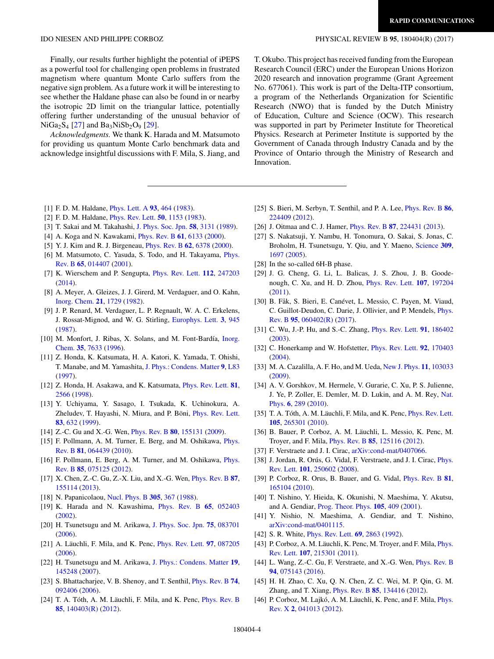Finally, our results further highlight the potential of iPEPS as a powerful tool for challenging open problems in frustrated magnetism where quantum Monte Carlo suffers from the negative sign problem. As a future work it will be interesting to see whether the Haldane phase can also be found in or nearby the isotropic 2D limit on the triangular lattice, potentially offering further understanding of the unusual behavior of  $NiGa<sub>2</sub>S<sub>4</sub>$  [27] and Ba<sub>3</sub>NiSb<sub>2</sub>O<sub>9</sub> [29].

*Acknowledgments.* We thank K. Harada and M. Matsumoto for providing us quantum Monte Carlo benchmark data and acknowledge insightful discussions with F. Mila, S. Jiang, and

#### <span id="page-4-0"></span>IDO NIESEN AND PHILIPPE CORBOZ PHYSICAL REVIEW B **95**, 180404(R) (2017)

T. Okubo. This project has received funding from the European Research Council (ERC) under the European Unions Horizon 2020 research and innovation programme (Grant Agreement No. 677061). This work is part of the Delta-ITP consortium, a program of the Netherlands Organization for Scientific Research (NWO) that is funded by the Dutch Ministry of Education, Culture and Science (OCW). This research was supported in part by Perimeter Institute for Theoretical Physics. Research at Perimeter Institute is supported by the Government of Canada through Industry Canada and by the Province of Ontario through the Ministry of Research and Innovation.

- [1] F. D. M. Haldane, [Phys. Lett. A](https://doi.org/10.1016/0375-9601(83)90631-X) **[93](https://doi.org/10.1016/0375-9601(83)90631-X)**, [464](https://doi.org/10.1016/0375-9601(83)90631-X) [\(1983\)](https://doi.org/10.1016/0375-9601(83)90631-X).
- [2] F. D. M. Haldane, [Phys. Rev. Lett.](https://doi.org/10.1103/PhysRevLett.50.1153) **[50](https://doi.org/10.1103/PhysRevLett.50.1153)**, [1153](https://doi.org/10.1103/PhysRevLett.50.1153) [\(1983\)](https://doi.org/10.1103/PhysRevLett.50.1153).
- [3] T. Sakai and M. Takahashi, [J. Phys. Soc. Jpn.](https://doi.org/10.1143/JPSJ.58.3131) **[58](https://doi.org/10.1143/JPSJ.58.3131)**, [3131](https://doi.org/10.1143/JPSJ.58.3131) [\(1989\)](https://doi.org/10.1143/JPSJ.58.3131).
- [4] A. Koga and N. Kawakami, [Phys. Rev. B](https://doi.org/10.1103/PhysRevB.61.6133) **[61](https://doi.org/10.1103/PhysRevB.61.6133)**, [6133](https://doi.org/10.1103/PhysRevB.61.6133) [\(2000\)](https://doi.org/10.1103/PhysRevB.61.6133).
- [5] Y. J. Kim and R. J. Birgeneau, [Phys. Rev. B](https://doi.org/10.1103/PhysRevB.62.6378) **[62](https://doi.org/10.1103/PhysRevB.62.6378)**, [6378](https://doi.org/10.1103/PhysRevB.62.6378) [\(2000\)](https://doi.org/10.1103/PhysRevB.62.6378).
- [6] [M. Matsumoto, C. Yasuda, S. Todo, and H. Takayama,](https://doi.org/10.1103/PhysRevB.65.014407) *Phys.* Rev. B **[65](https://doi.org/10.1103/PhysRevB.65.014407)**, [014407](https://doi.org/10.1103/PhysRevB.65.014407) [\(2001\)](https://doi.org/10.1103/PhysRevB.65.014407).
- [7] K. Wierschem and P. Sengupta, [Phys. Rev. Lett.](https://doi.org/10.1103/PhysRevLett.112.247203) **[112](https://doi.org/10.1103/PhysRevLett.112.247203)**, [247203](https://doi.org/10.1103/PhysRevLett.112.247203) [\(2014\)](https://doi.org/10.1103/PhysRevLett.112.247203).
- [8] A. Meyer, A. Gleizes, J. J. Girerd, M. Verdaguer, and O. Kahn, [Inorg. Chem.](https://doi.org/10.1021/ic00135a006) **[21](https://doi.org/10.1021/ic00135a006)**, [1729](https://doi.org/10.1021/ic00135a006) [\(1982\)](https://doi.org/10.1021/ic00135a006).
- [9] J. P. Renard, M. Verdaguer, L. P. Regnault, W. A. C. Erkelens, J. Rossat-Mignod, and W. G. Stirling, [Europhys. Lett.](https://doi.org/10.1209/0295-5075/3/8/013) **[3](https://doi.org/10.1209/0295-5075/3/8/013)**, [945](https://doi.org/10.1209/0295-5075/3/8/013) [\(1987\)](https://doi.org/10.1209/0295-5075/3/8/013).
- [10] [M. Monfort, J. Ribas, X. Solans, and M. Font-Bardía,](https://doi.org/10.1021/ic960733d) Inorg. Chem. **[35](https://doi.org/10.1021/ic960733d)**, [7633](https://doi.org/10.1021/ic960733d) [\(1996\)](https://doi.org/10.1021/ic960733d).
- [11] Z. Honda, K. Katsumata, H. A. Katori, K. Yamada, T. Ohishi, T. Manabe, and M. Yamashita, [J. Phys.: Condens. Matter](https://doi.org/10.1088/0953-8984/9/7/003) **[9](https://doi.org/10.1088/0953-8984/9/7/003)**, [L83](https://doi.org/10.1088/0953-8984/9/7/003) [\(1997\)](https://doi.org/10.1088/0953-8984/9/7/003).
- [12] Z. Honda, H. Asakawa, and K. Katsumata, [Phys. Rev. Lett.](https://doi.org/10.1103/PhysRevLett.81.2566) **[81](https://doi.org/10.1103/PhysRevLett.81.2566)**, [2566](https://doi.org/10.1103/PhysRevLett.81.2566) [\(1998\)](https://doi.org/10.1103/PhysRevLett.81.2566).
- [13] Y. Uchiyama, Y. Sasago, I. Tsukada, K. Uchinokura, A. Zheludev, T. Hayashi, N. Miura, and P. Böni, [Phys. Rev. Lett.](https://doi.org/10.1103/PhysRevLett.83.632) **[83](https://doi.org/10.1103/PhysRevLett.83.632)**, [632](https://doi.org/10.1103/PhysRevLett.83.632) [\(1999\)](https://doi.org/10.1103/PhysRevLett.83.632).
- [14] Z.-C. Gu and X.-G. Wen, [Phys. Rev. B](https://doi.org/10.1103/PhysRevB.80.155131) **[80](https://doi.org/10.1103/PhysRevB.80.155131)**, [155131](https://doi.org/10.1103/PhysRevB.80.155131) [\(2009\)](https://doi.org/10.1103/PhysRevB.80.155131).
- [15] [F. Pollmann, A. M. Turner, E. Berg, and M. Oshikawa,](https://doi.org/10.1103/PhysRevB.81.064439) *Phys.* Rev. B **[81](https://doi.org/10.1103/PhysRevB.81.064439)**, [064439](https://doi.org/10.1103/PhysRevB.81.064439) [\(2010\)](https://doi.org/10.1103/PhysRevB.81.064439).
- [16] [F. Pollmann, E. Berg, A. M. Turner, and M. Oshikawa,](https://doi.org/10.1103/PhysRevB.85.075125) *Phys.* Rev. B **[85](https://doi.org/10.1103/PhysRevB.85.075125)**, [075125](https://doi.org/10.1103/PhysRevB.85.075125) [\(2012\)](https://doi.org/10.1103/PhysRevB.85.075125).
- [17] X. Chen, Z.-C. Gu, Z.-X. Liu, and X.-G. Wen, [Phys. Rev. B](https://doi.org/10.1103/PhysRevB.87.155114) **[87](https://doi.org/10.1103/PhysRevB.87.155114)**, [155114](https://doi.org/10.1103/PhysRevB.87.155114) [\(2013\)](https://doi.org/10.1103/PhysRevB.87.155114).
- [18] N. Papanicolaou, [Nucl. Phys. B](https://doi.org/10.1016/0550-3213(88)90073-9) **[305](https://doi.org/10.1016/0550-3213(88)90073-9)**, [367](https://doi.org/10.1016/0550-3213(88)90073-9) [\(1988\)](https://doi.org/10.1016/0550-3213(88)90073-9).
- [19] K. Harada and N. Kawashima, [Phys. Rev. B](https://doi.org/10.1103/PhysRevB.65.052403) **[65](https://doi.org/10.1103/PhysRevB.65.052403)**, [052403](https://doi.org/10.1103/PhysRevB.65.052403) [\(2002\)](https://doi.org/10.1103/PhysRevB.65.052403).
- [20] H. Tsunetsugu and M. Arikawa, [J. Phys. Soc. Jpn.](https://doi.org/10.1143/JPSJ.75.083701) **[75](https://doi.org/10.1143/JPSJ.75.083701)**, [083701](https://doi.org/10.1143/JPSJ.75.083701) [\(2006\)](https://doi.org/10.1143/JPSJ.75.083701).
- [21] A. Läuchli, F. Mila, and K. Penc, [Phys. Rev. Lett.](https://doi.org/10.1103/PhysRevLett.97.087205) **[97](https://doi.org/10.1103/PhysRevLett.97.087205)**, [087205](https://doi.org/10.1103/PhysRevLett.97.087205) [\(2006\)](https://doi.org/10.1103/PhysRevLett.97.087205).
- [22] H. Tsunetsugu and M. Arikawa, [J. Phys.: Condens. Matter](https://doi.org/10.1088/0953-8984/19/14/145248) **[19](https://doi.org/10.1088/0953-8984/19/14/145248)**, [145248](https://doi.org/10.1088/0953-8984/19/14/145248) [\(2007\)](https://doi.org/10.1088/0953-8984/19/14/145248).
- [23] S. Bhattacharjee, V. B. Shenoy, and T. Senthil, [Phys. Rev. B](https://doi.org/10.1103/PhysRevB.74.092406) **[74](https://doi.org/10.1103/PhysRevB.74.092406)**, [092406](https://doi.org/10.1103/PhysRevB.74.092406) [\(2006\)](https://doi.org/10.1103/PhysRevB.74.092406).
- [24] T. A. Tóth, A. M. Läuchli, F. Mila, and K. Penc, [Phys. Rev. B](https://doi.org/10.1103/PhysRevB.85.140403) **[85](https://doi.org/10.1103/PhysRevB.85.140403)**, [140403\(R\)](https://doi.org/10.1103/PhysRevB.85.140403) [\(2012\)](https://doi.org/10.1103/PhysRevB.85.140403).
- [25] S. Bieri, M. Serbyn, T. Senthil, and P. A. Lee, [Phys. Rev. B](https://doi.org/10.1103/PhysRevB.86.224409) **[86](https://doi.org/10.1103/PhysRevB.86.224409)**, [224409](https://doi.org/10.1103/PhysRevB.86.224409) [\(2012\)](https://doi.org/10.1103/PhysRevB.86.224409).
- [26] J. Oitmaa and C. J. Hamer, [Phys. Rev. B](https://doi.org/10.1103/PhysRevB.87.224431) **[87](https://doi.org/10.1103/PhysRevB.87.224431)**, [224431](https://doi.org/10.1103/PhysRevB.87.224431) [\(2013\)](https://doi.org/10.1103/PhysRevB.87.224431).
- [27] S. Nakatsuji, Y. Nambu, H. Tonomura, O. Sakai, S. Jonas, C. Broholm, H. Tsunetsugu, Y. Qiu, and Y. Maeno, [Science](https://doi.org/10.1126/science.1114727) **[309](https://doi.org/10.1126/science.1114727)**, [1697](https://doi.org/10.1126/science.1114727) [\(2005\)](https://doi.org/10.1126/science.1114727).
- [28] In the so-called 6H-B phase.
- [29] J. G. Cheng, G. Li, L. Balicas, J. S. Zhou, J. B. Goodenough, C. Xu, and H. D. Zhou, [Phys. Rev. Lett.](https://doi.org/10.1103/PhysRevLett.107.197204) **[107](https://doi.org/10.1103/PhysRevLett.107.197204)**, [197204](https://doi.org/10.1103/PhysRevLett.107.197204) [\(2011\)](https://doi.org/10.1103/PhysRevLett.107.197204).
- [30] B. Fåk, S. Bieri, E. Canévet, L. Messio, C. Payen, M. Viaud, [C. Guillot-Deudon, C. Darie, J. Ollivier, and P. Mendels,](https://doi.org/10.1103/PhysRevB.95.060402) Phys. Rev. B **[95](https://doi.org/10.1103/PhysRevB.95.060402)**, [060402\(R\)](https://doi.org/10.1103/PhysRevB.95.060402) [\(2017\)](https://doi.org/10.1103/PhysRevB.95.060402).
- [31] C. Wu, J.-P. Hu, and S.-C. Zhang, [Phys. Rev. Lett.](https://doi.org/10.1103/PhysRevLett.91.186402) **[91](https://doi.org/10.1103/PhysRevLett.91.186402)**, [186402](https://doi.org/10.1103/PhysRevLett.91.186402) [\(2003\)](https://doi.org/10.1103/PhysRevLett.91.186402).
- [32] C. Honerkamp and W. Hofstetter, [Phys. Rev. Lett.](https://doi.org/10.1103/PhysRevLett.92.170403) **[92](https://doi.org/10.1103/PhysRevLett.92.170403)**, [170403](https://doi.org/10.1103/PhysRevLett.92.170403)  $(2004).$  $(2004).$
- [33] M. A. Cazalilla, A. F. Ho, and M. Ueda, [New J. Phys.](https://doi.org/10.1088/1367-2630/11/10/103033) **[11](https://doi.org/10.1088/1367-2630/11/10/103033)**, [103033](https://doi.org/10.1088/1367-2630/11/10/103033) [\(2009\)](https://doi.org/10.1088/1367-2630/11/10/103033).
- [34] A. V. Gorshkov, M. Hermele, V. Gurarie, C. Xu, P. S. Julienne, [J. Ye, P. Zoller, E. Demler, M. D. Lukin, and A. M. Rey,](https://doi.org/10.1038/nphys1535) Nat. Phys. **[6](https://doi.org/10.1038/nphys1535)**, [289](https://doi.org/10.1038/nphys1535) [\(2010\)](https://doi.org/10.1038/nphys1535).
- [35] T. A. Tóth, A. M. Läuchli, F. Mila, and K. Penc, [Phys. Rev. Lett.](https://doi.org/10.1103/PhysRevLett.105.265301) **[105](https://doi.org/10.1103/PhysRevLett.105.265301)**, [265301](https://doi.org/10.1103/PhysRevLett.105.265301) [\(2010\)](https://doi.org/10.1103/PhysRevLett.105.265301).
- [36] B. Bauer, P. Corboz, A. M. Läuchli, L. Messio, K. Penc, M. Troyer, and F. Mila, [Phys. Rev. B](https://doi.org/10.1103/PhysRevB.85.125116) **[85](https://doi.org/10.1103/PhysRevB.85.125116)**, [125116](https://doi.org/10.1103/PhysRevB.85.125116) [\(2012\)](https://doi.org/10.1103/PhysRevB.85.125116).
- [37] F. Verstraete and J. I. Cirac, [arXiv:cond-mat/0407066.](http://arxiv.org/abs/arXiv:cond-mat/0407066)
- [38] [J. Jordan, R. Orús, G. Vidal, F. Verstraete, and J. I. Cirac,](https://doi.org/10.1103/PhysRevLett.101.250602) Phys. Rev. Lett. **[101](https://doi.org/10.1103/PhysRevLett.101.250602)**, [250602](https://doi.org/10.1103/PhysRevLett.101.250602) [\(2008\)](https://doi.org/10.1103/PhysRevLett.101.250602).
- [39] P. Corboz, R. Orus, B. Bauer, and G. Vidal, [Phys. Rev. B](https://doi.org/10.1103/PhysRevB.81.165104) **[81](https://doi.org/10.1103/PhysRevB.81.165104)**, [165104](https://doi.org/10.1103/PhysRevB.81.165104) [\(2010\)](https://doi.org/10.1103/PhysRevB.81.165104).
- [40] T. Nishino, Y. Hieida, K. Okunishi, N. Maeshima, Y. Akutsu, and A. Gendiar, [Prog. Theor. Phys.](https://doi.org/10.1143/PTP.105.409) **[105](https://doi.org/10.1143/PTP.105.409)**, [409](https://doi.org/10.1143/PTP.105.409) [\(2001\)](https://doi.org/10.1143/PTP.105.409).
- [41] Y. Nishio, N. Maeshima, A. Gendiar, and T. Nishino, [arXiv:cond-mat/0401115.](http://arxiv.org/abs/arXiv:cond-mat/0401115)
- [42] S. R. White, [Phys. Rev. Lett.](https://doi.org/10.1103/PhysRevLett.69.2863) **[69](https://doi.org/10.1103/PhysRevLett.69.2863)**, [2863](https://doi.org/10.1103/PhysRevLett.69.2863) [\(1992\)](https://doi.org/10.1103/PhysRevLett.69.2863).
- [43] [P. Corboz, A. M. Läuchli, K. Penc, M. Troyer, and F. Mila,](https://doi.org/10.1103/PhysRevLett.107.215301) *Phys.* Rev. Lett. **[107](https://doi.org/10.1103/PhysRevLett.107.215301)**, [215301](https://doi.org/10.1103/PhysRevLett.107.215301) [\(2011\)](https://doi.org/10.1103/PhysRevLett.107.215301).
- [44] L. Wang, Z.-C. Gu, F. Verstraete, and X.-G. Wen, *[Phys. Rev. B](https://doi.org/10.1103/PhysRevB.94.075143)* **[94](https://doi.org/10.1103/PhysRevB.94.075143)**, [075143](https://doi.org/10.1103/PhysRevB.94.075143) [\(2016\)](https://doi.org/10.1103/PhysRevB.94.075143).
- [45] H. H. Zhao, C. Xu, Q. N. Chen, Z. C. Wei, M. P. Qin, G. M. Zhang, and T. Xiang, [Phys. Rev. B](https://doi.org/10.1103/PhysRevB.85.134416) **[85](https://doi.org/10.1103/PhysRevB.85.134416)**, [134416](https://doi.org/10.1103/PhysRevB.85.134416) [\(2012\)](https://doi.org/10.1103/PhysRevB.85.134416).
- [46] [P. Corboz, M. Lajkó, A. M. Läuchli, K. Penc, and F. Mila,](https://doi.org/10.1103/PhysRevX.2.041013) *Phys.* Rev. X **[2](https://doi.org/10.1103/PhysRevX.2.041013)**, [041013](https://doi.org/10.1103/PhysRevX.2.041013) [\(2012\)](https://doi.org/10.1103/PhysRevX.2.041013).